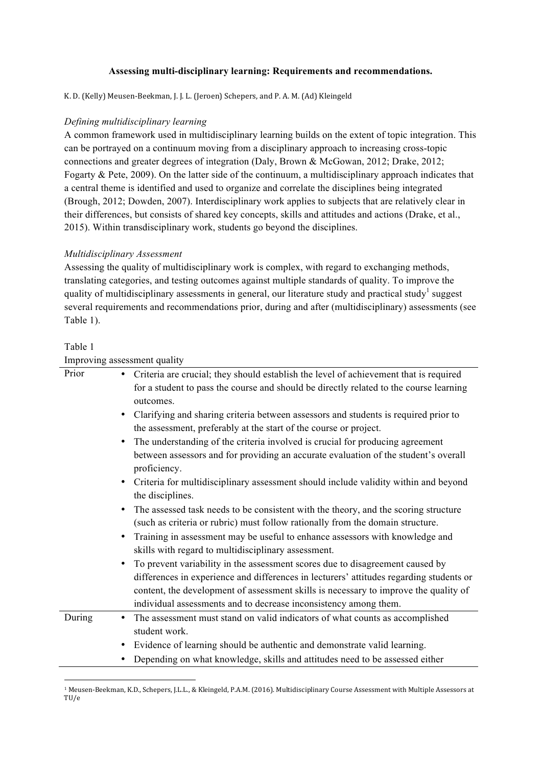## **Assessing multi-disciplinary learning: Requirements and recommendations.**

K. D. (Kelly) Meusen-Beekman, J. J. L. (Jeroen) Schepers, and P. A. M. (Ad) Kleingeld

## *Defining multidisciplinary learning*

A common framework used in multidisciplinary learning builds on the extent of topic integration. This can be portrayed on a continuum moving from a disciplinary approach to increasing cross-topic connections and greater degrees of integration (Daly, Brown & McGowan, 2012; Drake, 2012; Fogarty & Pete, 2009). On the latter side of the continuum, a multidisciplinary approach indicates that a central theme is identified and used to organize and correlate the disciplines being integrated (Brough, 2012; Dowden, 2007). Interdisciplinary work applies to subjects that are relatively clear in their differences, but consists of shared key concepts, skills and attitudes and actions (Drake, et al., 2015). Within transdisciplinary work, students go beyond the disciplines.

## *Multidisciplinary Assessment*

Assessing the quality of multidisciplinary work is complex, with regard to exchanging methods, translating categories, and testing outcomes against multiple standards of quality. To improve the quality of multidisciplinary assessments in general, our literature study and practical study<sup>1</sup> suggest several requirements and recommendations prior, during and after (multidisciplinary) assessments (see Table 1).

## Table 1

Improving assessment quality

 

| к.     |                                                                                                                                                                                                                                                                                                                                                                                                                                                                                                                                                                                                                                                                                                      |
|--------|------------------------------------------------------------------------------------------------------------------------------------------------------------------------------------------------------------------------------------------------------------------------------------------------------------------------------------------------------------------------------------------------------------------------------------------------------------------------------------------------------------------------------------------------------------------------------------------------------------------------------------------------------------------------------------------------------|
| Prior  | Criteria are crucial; they should establish the level of achievement that is required<br>$\bullet$<br>for a student to pass the course and should be directly related to the course learning<br>outcomes.<br>Clarifying and sharing criteria between assessors and students is required prior to<br>$\bullet$<br>the assessment, preferably at the start of the course or project.<br>The understanding of the criteria involved is crucial for producing agreement<br>$\bullet$<br>between assessors and for providing an accurate evaluation of the student's overall<br>proficiency.<br>• Criteria for multidisciplinary assessment should include validity within and beyond<br>the disciplines. |
|        | The assessed task needs to be consistent with the theory, and the scoring structure<br>(such as criteria or rubric) must follow rationally from the domain structure.                                                                                                                                                                                                                                                                                                                                                                                                                                                                                                                                |
|        |                                                                                                                                                                                                                                                                                                                                                                                                                                                                                                                                                                                                                                                                                                      |
|        | Training in assessment may be useful to enhance assessors with knowledge and<br>$\bullet$                                                                                                                                                                                                                                                                                                                                                                                                                                                                                                                                                                                                            |
|        | skills with regard to multidisciplinary assessment.                                                                                                                                                                                                                                                                                                                                                                                                                                                                                                                                                                                                                                                  |
|        | To prevent variability in the assessment scores due to disagreement caused by                                                                                                                                                                                                                                                                                                                                                                                                                                                                                                                                                                                                                        |
|        | differences in experience and differences in lecturers' attitudes regarding students or                                                                                                                                                                                                                                                                                                                                                                                                                                                                                                                                                                                                              |
|        | content, the development of assessment skills is necessary to improve the quality of                                                                                                                                                                                                                                                                                                                                                                                                                                                                                                                                                                                                                 |
|        | individual assessments and to decrease inconsistency among them.                                                                                                                                                                                                                                                                                                                                                                                                                                                                                                                                                                                                                                     |
| During | The assessment must stand on valid indicators of what counts as accomplished<br>٠                                                                                                                                                                                                                                                                                                                                                                                                                                                                                                                                                                                                                    |
|        | student work.                                                                                                                                                                                                                                                                                                                                                                                                                                                                                                                                                                                                                                                                                        |
|        | Evidence of learning should be authentic and demonstrate valid learning.<br>$\bullet$                                                                                                                                                                                                                                                                                                                                                                                                                                                                                                                                                                                                                |
|        | Depending on what knowledge, skills and attitudes need to be assessed either                                                                                                                                                                                                                                                                                                                                                                                                                                                                                                                                                                                                                         |

<sup>&</sup>lt;sup>1</sup> Meusen-Beekman, K.D., Schepers, J.L.L., & Kleingeld, P.A.M. (2016). Multidisciplinary Course Assessment with Multiple Assessors at TU/e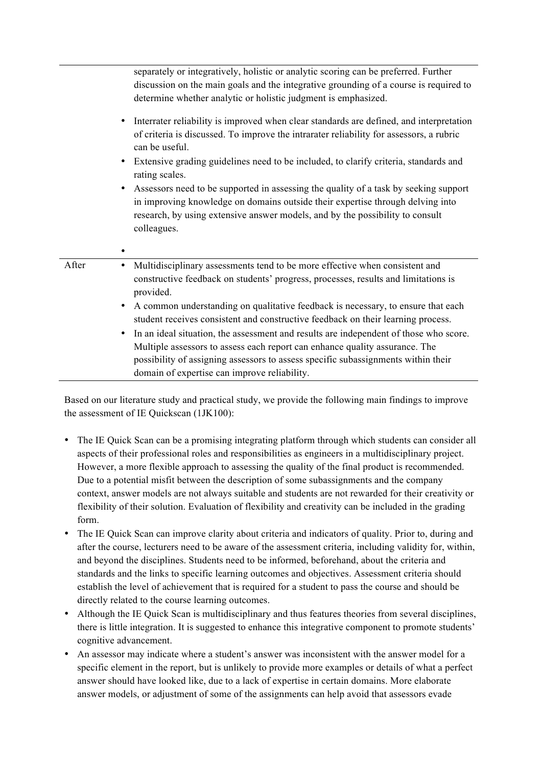|       | separately or integratively, holistic or analytic scoring can be preferred. Further<br>discussion on the main goals and the integrative grounding of a course is required to<br>determine whether analytic or holistic judgment is emphasized.                         |
|-------|------------------------------------------------------------------------------------------------------------------------------------------------------------------------------------------------------------------------------------------------------------------------|
|       | Interrater reliability is improved when clear standards are defined, and interpretation<br>$\bullet$<br>of criteria is discussed. To improve the intrarater reliability for assessors, a rubric<br>can be useful.                                                      |
|       | Extensive grading guidelines need to be included, to clarify criteria, standards and<br>rating scales.                                                                                                                                                                 |
|       | Assessors need to be supported in assessing the quality of a task by seeking support<br>in improving knowledge on domains outside their expertise through delving into<br>research, by using extensive answer models, and by the possibility to consult<br>colleagues. |
|       |                                                                                                                                                                                                                                                                        |
| After | Multidisciplinary assessments tend to be more effective when consistent and<br>٠<br>constructive feedback on students' progress, processes, results and limitations is<br>provided.                                                                                    |
|       | A common understanding on qualitative feedback is necessary, to ensure that each<br>student receives consistent and constructive feedback on their learning process.                                                                                                   |
|       | In an ideal situation, the assessment and results are independent of those who score.<br>$\bullet$                                                                                                                                                                     |
|       | Multiple assessors to assess each report can enhance quality assurance. The<br>possibility of assigning assessors to assess specific subassignments within their                                                                                                       |
|       | domain of expertise can improve reliability.                                                                                                                                                                                                                           |

Based on our literature study and practical study, we provide the following main findings to improve the assessment of IE Quickscan (1JK100):

- The IE Quick Scan can be a promising integrating platform through which students can consider all aspects of their professional roles and responsibilities as engineers in a multidisciplinary project. However, a more flexible approach to assessing the quality of the final product is recommended. Due to a potential misfit between the description of some subassignments and the company context, answer models are not always suitable and students are not rewarded for their creativity or flexibility of their solution. Evaluation of flexibility and creativity can be included in the grading form.
- The IE Quick Scan can improve clarity about criteria and indicators of quality. Prior to, during and after the course, lecturers need to be aware of the assessment criteria, including validity for, within, and beyond the disciplines. Students need to be informed, beforehand, about the criteria and standards and the links to specific learning outcomes and objectives. Assessment criteria should establish the level of achievement that is required for a student to pass the course and should be directly related to the course learning outcomes.
- Although the IE Quick Scan is multidisciplinary and thus features theories from several disciplines, there is little integration. It is suggested to enhance this integrative component to promote students' cognitive advancement.
- An assessor may indicate where a student's answer was inconsistent with the answer model for a specific element in the report, but is unlikely to provide more examples or details of what a perfect answer should have looked like, due to a lack of expertise in certain domains. More elaborate answer models, or adjustment of some of the assignments can help avoid that assessors evade